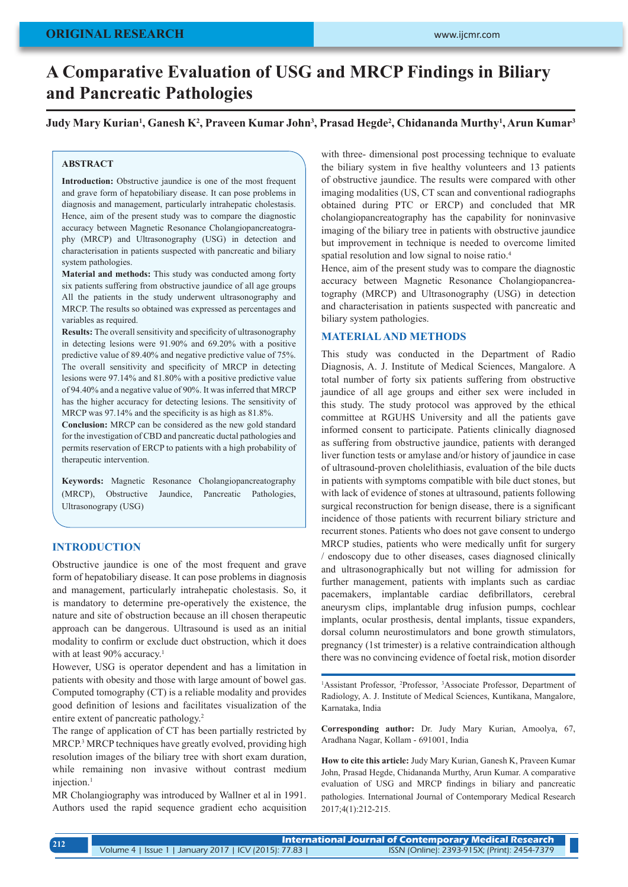# **A Comparative Evaluation of USG and MRCP Findings in Biliary and Pancreatic Pathologies**

**Judy Mary Kurian1 , Ganesh K2 , Praveen Kumar John3 , Prasad Hegde2 , Chidananda Murthy1 , Arun Kumar3**

#### **ABSTRACT**

**Introduction:** Obstructive jaundice is one of the most frequent and grave form of hepatobiliary disease. It can pose problems in diagnosis and management, particularly intrahepatic cholestasis. Hence, aim of the present study was to compare the diagnostic accuracy between Magnetic Resonance Cholangiopancreatography (MRCP) and Ultrasonography (USG) in detection and characterisation in patients suspected with pancreatic and biliary system pathologies.

**Material and methods:** This study was conducted among forty six patients suffering from obstructive jaundice of all age groups All the patients in the study underwent ultrasonography and MRCP. The results so obtained was expressed as percentages and variables as required.

**Results:** The overall sensitivity and specificity of ultrasonography in detecting lesions were 91.90% and 69.20% with a positive predictive value of 89.40% and negative predictive value of 75%. The overall sensitivity and specificity of MRCP in detecting lesions were 97.14% and 81.80% with a positive predictive value of 94.40% and a negative value of 90%. It was inferred that MRCP has the higher accuracy for detecting lesions. The sensitivity of MRCP was 97.14% and the specificity is as high as 81.8%.

**Conclusion:** MRCP can be considered as the new gold standard for the investigation of CBD and pancreatic ductal pathologies and permits reservation of ERCP to patients with a high probability of therapeutic intervention.

**Keywords:** Magnetic Resonance Cholangiopancreatography (MRCP), Obstructive Jaundice, Pancreatic Pathologies, Ultrasonograpy (USG)

## **INTRODUCTION**

Obstructive jaundice is one of the most frequent and grave form of hepatobiliary disease. It can pose problems in diagnosis and management, particularly intrahepatic cholestasis. So, it is mandatory to determine pre-operatively the existence, the nature and site of obstruction because an ill chosen therapeutic approach can be dangerous. Ultrasound is used as an initial modality to confirm or exclude duct obstruction, which it does with at least 90% accuracy.<sup>1</sup>

However, USG is operator dependent and has a limitation in patients with obesity and those with large amount of bowel gas. Computed tomography (CT) is a reliable modality and provides good definition of lesions and facilitates visualization of the entire extent of pancreatic pathology.2

The range of application of CT has been partially restricted by MRCP.<sup>3</sup> MRCP techniques have greatly evolved, providing high resolution images of the biliary tree with short exam duration, while remaining non invasive without contrast medium injection.1

MR Cholangiography was introduced by Wallner et al in 1991. Authors used the rapid sequence gradient echo acquisition

with three- dimensional post processing technique to evaluate the biliary system in five healthy volunteers and 13 patients of obstructive jaundice. The results were compared with other imaging modalities (US, CT scan and conventional radiographs obtained during PTC or ERCP) and concluded that MR cholangiopancreatography has the capability for noninvasive imaging of the biliary tree in patients with obstructive jaundice but improvement in technique is needed to overcome limited spatial resolution and low signal to noise ratio.<sup>4</sup>

Hence, aim of the present study was to compare the diagnostic accuracy between Magnetic Resonance Cholangiopancreatography (MRCP) and Ultrasonography (USG) in detection and characterisation in patients suspected with pancreatic and biliary system pathologies.

## **MATERIAL AND METHODS**

This study was conducted in the Department of Radio Diagnosis, A. J. Institute of Medical Sciences, Mangalore. A total number of forty six patients suffering from obstructive jaundice of all age groups and either sex were included in this study. The study protocol was approved by the ethical committee at RGUHS University and all the patients gave informed consent to participate. Patients clinically diagnosed as suffering from obstructive jaundice, patients with deranged liver function tests or amylase and/or history of jaundice in case of ultrasound-proven cholelithiasis, evaluation of the bile ducts in patients with symptoms compatible with bile duct stones, but with lack of evidence of stones at ultrasound, patients following surgical reconstruction for benign disease, there is a significant incidence of those patients with recurrent biliary stricture and recurrent stones. Patients who does not gave consent to undergo MRCP studies, patients who were medically unfit for surgery / endoscopy due to other diseases, cases diagnosed clinically and ultrasonographically but not willing for admission for further management, patients with implants such as cardiac pacemakers, implantable cardiac defibrillators, cerebral aneurysm clips, implantable drug infusion pumps, cochlear implants, ocular prosthesis, dental implants, tissue expanders, dorsal column neurostimulators and bone growth stimulators, pregnancy (1st trimester) is a relative contraindication although there was no convincing evidence of foetal risk, motion disorder

<sup>1</sup>Assistant Professor, <sup>2</sup>Professor, <sup>3</sup>Associate Professor, Department of Radiology, A. J. Institute of Medical Sciences, Kuntikana, Mangalore, Karnataka, India

**Corresponding author:** Dr. Judy Mary Kurian, Amoolya, 67, Aradhana Nagar, Kollam - 691001, India

**How to cite this article:** Judy Mary Kurian, Ganesh K, Praveen Kumar John, Prasad Hegde, Chidananda Murthy, Arun Kumar. A comparative evaluation of USG and MRCP findings in biliary and pancreatic pathologies. International Journal of Contemporary Medical Research 2017;4(1):212-215.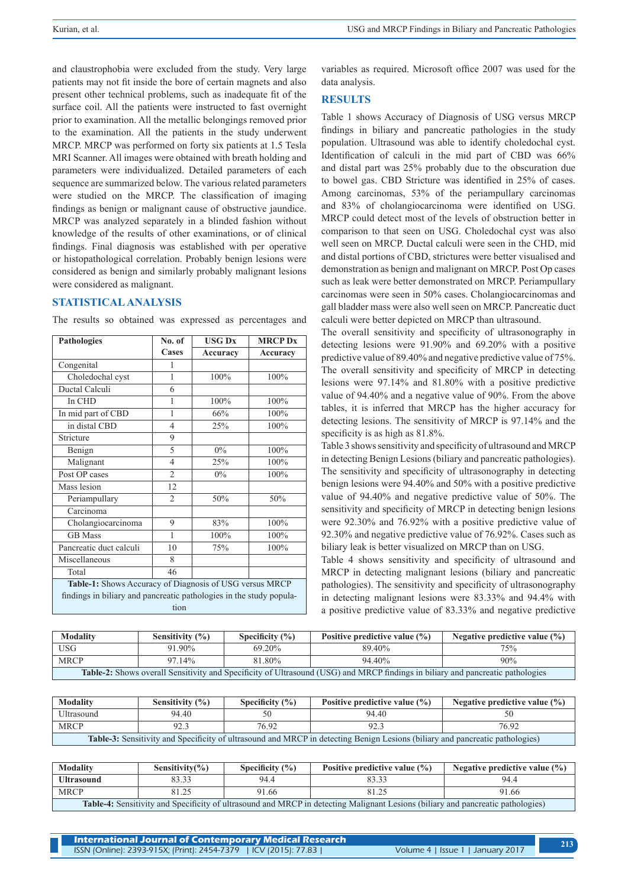and claustrophobia were excluded from the study. Very large patients may not fit inside the bore of certain magnets and also present other technical problems, such as inadequate fit of the surface coil. All the patients were instructed to fast overnight prior to examination. All the metallic belongings removed prior to the examination. All the patients in the study underwent MRCP. MRCP was performed on forty six patients at 1.5 Tesla MRI Scanner. All images were obtained with breath holding and parameters were individualized. Detailed parameters of each sequence are summarized below. The various related parameters were studied on the MRCP. The classification of imaging findings as benign or malignant cause of obstructive jaundice. MRCP was analyzed separately in a blinded fashion without knowledge of the results of other examinations, or of clinical findings. Final diagnosis was established with per operative or histopathological correlation. Probably benign lesions were considered as benign and similarly probably malignant lesions were considered as malignant.

## **STATISTICAL ANALYSIS**

The results so obtained was expressed as percentages and

| <b>Pathologies</b>                                                                                                                     | No. of         | <b>USG Dx</b> | <b>MRCP Dx</b> |
|----------------------------------------------------------------------------------------------------------------------------------------|----------------|---------------|----------------|
|                                                                                                                                        | Cases          | Accuracy      | Accuracy       |
| Congenital                                                                                                                             | 1              |               |                |
| Choledochal cyst                                                                                                                       | 1              | 100%          | 100%           |
| Ductal Calculi                                                                                                                         | 6              |               |                |
| In CHD                                                                                                                                 | 1              | 100%          | 100%           |
| In mid part of CBD                                                                                                                     | 1              | 66%           | 100%           |
| in distal CBD                                                                                                                          | $\overline{4}$ | 25%           | 100%           |
| Stricture                                                                                                                              | 9              |               |                |
| Benign                                                                                                                                 | 5              | $0\%$         | 100%           |
| Malignant                                                                                                                              | $\overline{4}$ | 25%           | 100%           |
| Post OP cases                                                                                                                          | $\overline{2}$ | $0\%$         | 100%           |
| Mass lesion                                                                                                                            | 12             |               |                |
| Periampullary                                                                                                                          | $\overline{2}$ | 50%           | 50%            |
| $\overline{\text{C}}$ arcinoma                                                                                                         |                |               |                |
| Cholangiocarcinoma                                                                                                                     | 9              | 83%           | 100%           |
| <b>GB</b> Mass                                                                                                                         | 1              | 100%          | 100%           |
| Pancreatic duct calculi                                                                                                                | 10             | 75%           | 100%           |
| Miscellaneous                                                                                                                          | 8              |               |                |
| Total                                                                                                                                  | 46             |               |                |
| Table-1: Shows Accuracy of Diagnosis of USG versus MRCP<br>findings in biliary and pancreatic pathologies in the study popula-<br>tion |                |               |                |

variables as required. Microsoft office 2007 was used for the data analysis.

## **RESULTS**

Table 1 shows Accuracy of Diagnosis of USG versus MRCP findings in biliary and pancreatic pathologies in the study population. Ultrasound was able to identify choledochal cyst. Identification of calculi in the mid part of CBD was 66% and distal part was 25% probably due to the obscuration due to bowel gas. CBD Stricture was identified in 25% of cases. Among carcinomas, 53% of the periampullary carcinomas and 83% of cholangiocarcinoma were identified on USG. MRCP could detect most of the levels of obstruction better in comparison to that seen on USG. Choledochal cyst was also well seen on MRCP. Ductal calculi were seen in the CHD, mid and distal portions of CBD, strictures were better visualised and demonstration as benign and malignant on MRCP. Post Op cases such as leak were better demonstrated on MRCP. Periampullary carcinomas were seen in 50% cases. Cholangiocarcinomas and gall bladder mass were also well seen on MRCP. Pancreatic duct calculi were better depicted on MRCP than ultrasound.

The overall sensitivity and specificity of ultrasonography in detecting lesions were 91.90% and 69.20% with a positive predictive value of 89.40% and negative predictive value of 75%. The overall sensitivity and specificity of MRCP in detecting lesions were 97.14% and 81.80% with a positive predictive value of 94.40% and a negative value of 90%. From the above tables, it is inferred that MRCP has the higher accuracy for detecting lesions. The sensitivity of MRCP is 97.14% and the specificity is as high as 81.8%.

Table 3 shows sensitivity and specificity of ultrasound and MRCP in detecting Benign Lesions (biliary and pancreatic pathologies). The sensitivity and specificity of ultrasonography in detecting benign lesions were 94.40% and 50% with a positive predictive value of 94.40% and negative predictive value of 50%. The sensitivity and specificity of MRCP in detecting benign lesions were 92.30% and 76.92% with a positive predictive value of 92.30% and negative predictive value of 76.92%. Cases such as biliary leak is better visualized on MRCP than on USG.

Table 4 shows sensitivity and specificity of ultrasound and MRCP in detecting malignant lesions (biliary and pancreatic pathologies). The sensitivity and specificity of ultrasonography in detecting malignant lesions were 83.33% and 94.4% with a positive predictive value of 83.33% and negative predictive

| <b>Modality</b>                                                                                                                       | Sensitivity $(\% )$ | Specificity $(\% )$ | Positive predictive value $(\% )$ | Negative predictive value $(\% )$ |
|---------------------------------------------------------------------------------------------------------------------------------------|---------------------|---------------------|-----------------------------------|-----------------------------------|
| <b>USG</b>                                                                                                                            | 91.90%              | 69.20%              | 89.40%                            | 75%                               |
| <b>MRCP</b>                                                                                                                           | 97.14%              | 81.80%              | 94.40%                            | 90%                               |
| <b>Table-2:</b> Shows overall Sensitivity and Specificity of Ultrasound (USG) and MRCP findings in biliary and pancreatic pathologies |                     |                     |                                   |                                   |

| <b>Modality</b>                                                                                                              | Sensitivity $(\% )$ | Specificity $(\% )$ | Positive predictive value $(\% )$ | Negative predictive value $(\%)$ |
|------------------------------------------------------------------------------------------------------------------------------|---------------------|---------------------|-----------------------------------|----------------------------------|
| Ultrasound                                                                                                                   | 94.40               |                     | 94.40                             |                                  |
| <b>MRCP</b>                                                                                                                  | 92.3                | 76.92               | 92.                               | 76.92                            |
| Table-3: Sensitivity and Specificity of ultrasound and MRCP in detecting Benign Lesions (biliary and pancreatic pathologies) |                     |                     |                                   |                                  |

| <b>Modality</b>                                                                                                                        | Sensitivity $(\% )$ | Specificity $(\% )$ | Positive predictive value $(\% )$ | Negative predictive value $(\% )$ |
|----------------------------------------------------------------------------------------------------------------------------------------|---------------------|---------------------|-----------------------------------|-----------------------------------|
| Ultrasound                                                                                                                             | 83.33               | 94.4                | 83.33                             | 94.4                              |
| <b>MRCP</b>                                                                                                                            | 81.25               | 91.66               | 81.25                             | 91.66                             |
| <b>Table-4:</b> Sensitivity and Specificity of ultrasound and MRCP in detecting Malignant Lesions (biliary and pancreatic pathologies) |                     |                     |                                   |                                   |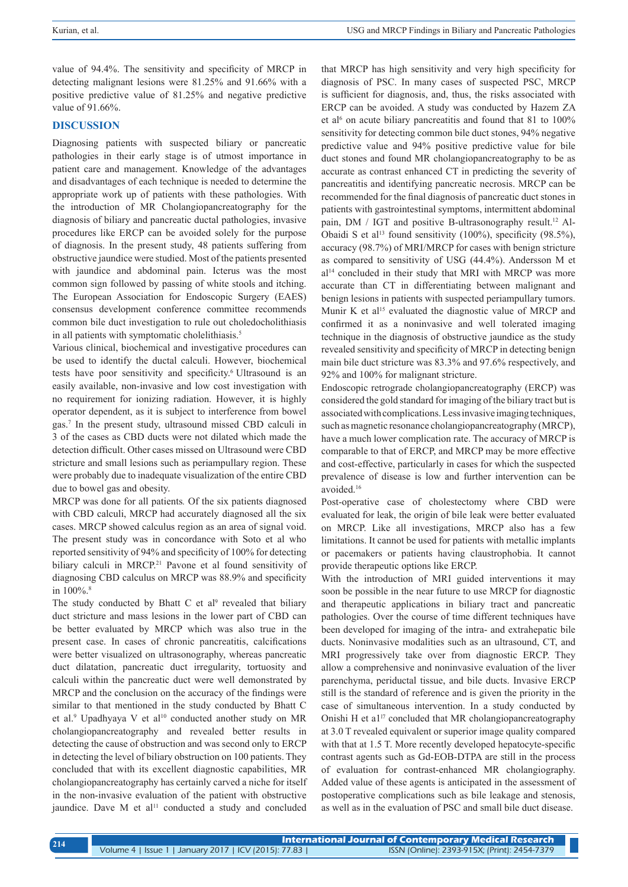value of 94.4%. The sensitivity and specificity of MRCP in detecting malignant lesions were 81.25% and 91.66% with a positive predictive value of 81.25% and negative predictive value of 91.66%.

#### **DISCUSSION**

Diagnosing patients with suspected biliary or pancreatic pathologies in their early stage is of utmost importance in patient care and management. Knowledge of the advantages and disadvantages of each technique is needed to determine the appropriate work up of patients with these pathologies. With the introduction of MR Cholangiopancreatography for the diagnosis of biliary and pancreatic ductal pathologies, invasive procedures like ERCP can be avoided solely for the purpose of diagnosis. In the present study, 48 patients suffering from obstructive jaundice were studied. Most of the patients presented with jaundice and abdominal pain. Icterus was the most common sign followed by passing of white stools and itching. The European Association for Endoscopic Surgery (EAES) consensus development conference committee recommends common bile duct investigation to rule out choledocholithiasis in all patients with symptomatic cholelithiasis.<sup>5</sup>

Various clinical, biochemical and investigative procedures can be used to identify the ductal calculi. However, biochemical tests have poor sensitivity and specificity.<sup>6</sup> Ultrasound is an easily available, non-invasive and low cost investigation with no requirement for ionizing radiation. However, it is highly operator dependent, as it is subject to interference from bowel gas.7 In the present study, ultrasound missed CBD calculi in 3 of the cases as CBD ducts were not dilated which made the detection difficult. Other cases missed on Ultrasound were CBD stricture and small lesions such as periampullary region. These were probably due to inadequate visualization of the entire CBD due to bowel gas and obesity.

MRCP was done for all patients*.* Of the six patients diagnosed with CBD calculi, MRCP had accurately diagnosed all the six cases. MRCP showed calculus region as an area of signal void. The present study was in concordance with Soto et al who reported sensitivity of 94% and specificity of 100% for detecting biliary calculi in MRCP.<sup>21</sup> Pavone et al found sensitivity of diagnosing CBD calculus on MRCP was 88.9% and specificity in  $100\%$ .<sup>8</sup>

The study conducted by Bhatt C et al<sup>9</sup> revealed that biliary duct stricture and mass lesions in the lower part of CBD can be better evaluated by MRCP which was also true in the present case. In cases of chronic pancreatitis, calcifications were better visualized on ultrasonography, whereas pancreatic duct dilatation, pancreatic duct irregularity, tortuosity and calculi within the pancreatic duct were well demonstrated by MRCP and the conclusion on the accuracy of the findings were similar to that mentioned in the study conducted by Bhatt C et al.<sup>9</sup> Upadhyaya V et al<sup>10</sup> conducted another study on MR cholangiopancreatography and revealed better results in detecting the cause of obstruction and was second only to ERCP in detecting the level of biliary obstruction on 100 patients. They concluded that with its excellent diagnostic capabilities, MR cholangiopancreatography has certainly carved a niche for itself in the non-invasive evaluation of the patient with obstructive jaundice. Dave M et al<sup>11</sup> conducted a study and concluded

that MRCP has high sensitivity and very high specificity for diagnosis of PSC. In many cases of suspected PSC, MRCP is sufficient for diagnosis, and, thus, the risks associated with ERCP can be avoided. A study was conducted by Hazem ZA et al<sup>6</sup> on acute biliary pancreatitis and found that 81 to 100% sensitivity for detecting common bile duct stones, 94% negative predictive value and 94% positive predictive value for bile duct stones and found MR cholangiopancreatography to be as accurate as contrast enhanced CT in predicting the severity of pancreatitis and identifying pancreatic necrosis. MRCP can be recommended for the final diagnosis of pancreatic duct stones in patients with gastrointestinal symptoms, intermittent abdominal pain, DM / IGT and positive B-ultrasonography result.<sup>12</sup> Al-Obaidi S et al<sup>13</sup> found sensitivity (100%), specificity (98.5%), accuracy (98.7%) of MRI/MRCP for cases with benign stricture as compared to sensitivity of USG (44.4%). Andersson M et al<sup>14</sup> concluded in their study that MRI with MRCP was more accurate than CT in differentiating between malignant and benign lesions in patients with suspected periampullary tumors. Munir K et al<sup>15</sup> evaluated the diagnostic value of MRCP and confirmed it as a noninvasive and well tolerated imaging technique in the diagnosis of obstructive jaundice as the study revealed sensitivity and specificity of MRCP in detecting benign main bile duct stricture was 83.3% and 97.6% respectively, and 92% and 100% for malignant stricture.

Endoscopic retrograde cholangiopancreatography (ERCP) was considered the gold standard for imaging of the biliary tract but is associated with complications. Less invasive imaging techniques, such as magnetic resonance cholangiopancreatography (MRCP), have a much lower complication rate. The accuracy of MRCP is comparable to that of ERCP, and MRCP may be more effective and cost-effective, particularly in cases for which the suspected prevalence of disease is low and further intervention can be avoided.16

Post-operative case of cholestectomy where CBD were evaluated for leak, the origin of bile leak were better evaluated on MRCP. Like all investigations, MRCP also has a few limitations. It cannot be used for patients with metallic implants or pacemakers or patients having claustrophobia. It cannot provide therapeutic options like ERCP.

With the introduction of MRI guided interventions it may soon be possible in the near future to use MRCP for diagnostic and therapeutic applications in biliary tract and pancreatic pathologies. Over the course of time different techniques have been developed for imaging of the intra- and extrahepatic bile ducts. Noninvasive modalities such as an ultrasound, CT, and MRI progressively take over from diagnostic ERCP. They allow a comprehensive and noninvasive evaluation of the liver parenchyma, periductal tissue, and bile ducts. Invasive ERCP still is the standard of reference and is given the priority in the case of simultaneous intervention. In a study conducted by Onishi H et a<sup>117</sup> concluded that MR cholangiopancreatography at 3.0 T revealed equivalent or superior image quality compared with that at 1.5 T. More recently developed hepatocyte-specific contrast agents such as Gd-EOB-DTPA are still in the process of evaluation for contrast-enhanced MR cholangiography. Added value of these agents is anticipated in the assessment of postoperative complications such as bile leakage and stenosis, as well as in the evaluation of PSC and small bile duct disease.